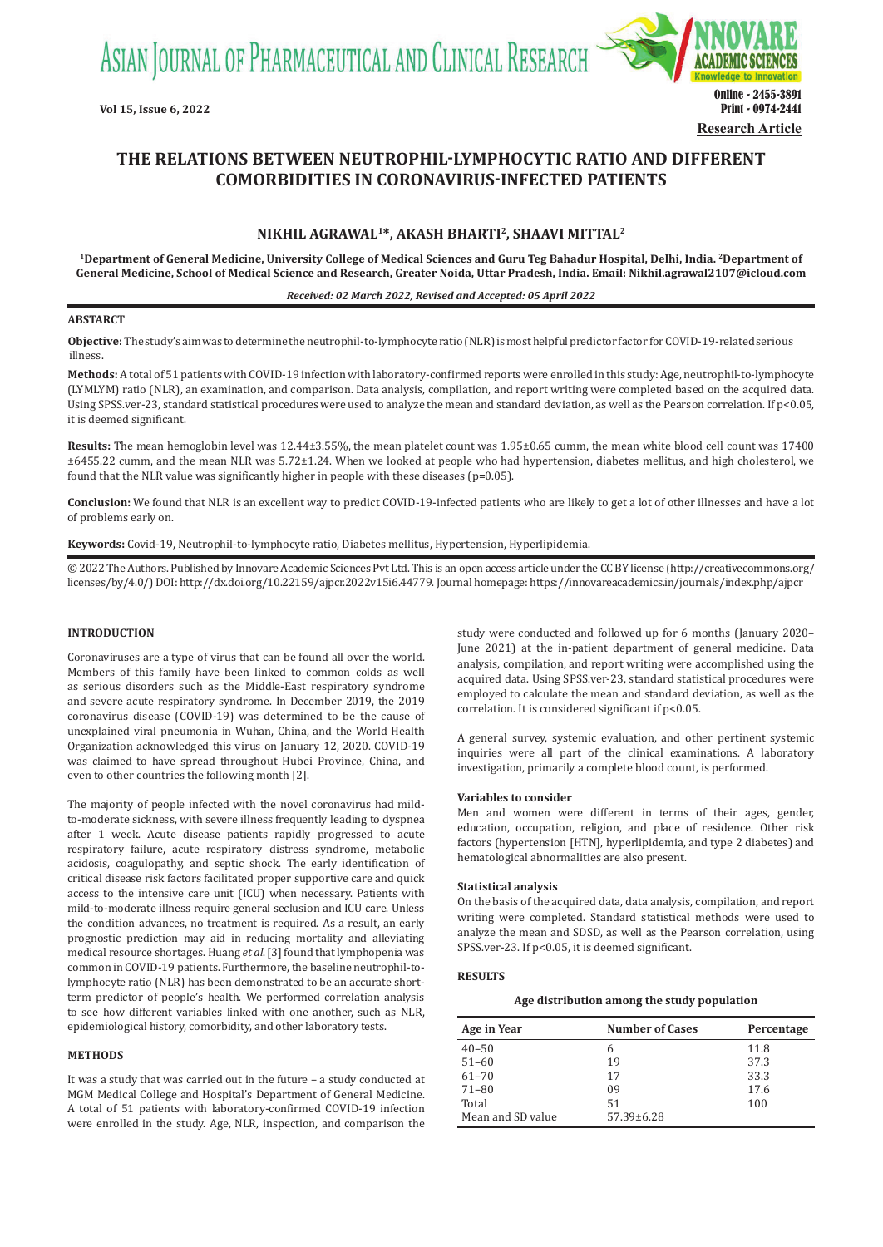ASIAN JOURNAL OF PHARMACEUTICAL AND CLINICAL RESEARCH



# **THE RELATIONS BETWEEN NEUTROPHIL-LYMPHOCYTIC RATIO AND DIFFERENT COMORBIDITIES IN CORONAVIRUS-INFECTED PATIENTS**

# **NIKHIL AGRAWAL1\*, AKASH BHARTI2, SHAAVI MITTAL<sup>2</sup>**

**<sup>1</sup>Department of General Medicine, University College of Medical Sciences and Guru Teg Bahadur Hospital, Delhi, India. <sup>2</sup>Department of General Medicine, School of Medical Science and Research, Greater Noida, Uttar Pradesh, India. Email: Nikhil.agrawal2107@icloud.com**

### *Received: 02 March 2022, Revised and Accepted: 05 April 2022*

## **ABSTARCT**

**Objective:** The study's aim was to determine the neutrophil-to-lymphocyte ratio (NLR) is most helpful predictor factor for COVID-19-related serious illness.

**Methods:** A total of 51 patients with COVID-19 infection with laboratory-confirmed reports were enrolled in this study: Age, neutrophil-to-lymphocyte (LYMLYM) ratio (NLR), an examination, and comparison. Data analysis, compilation, and report writing were completed based on the acquired data. Using SPSS.ver-23, standard statistical procedures were used to analyze the mean and standard deviation, as well as the Pearson correlation. If p<0.05, it is deemed significant.

**Results:** The mean hemoglobin level was 12.44±3.55%, the mean platelet count was 1.95±0.65 cumm, the mean white blood cell count was 17400 ±6455.22 cumm, and the mean NLR was 5.72±1.24. When we looked at people who had hypertension, diabetes mellitus, and high cholesterol, we found that the NLR value was significantly higher in people with these diseases (p=0.05).

**Conclusion:** We found that NLR is an excellent way to predict COVID-19-infected patients who are likely to get a lot of other illnesses and have a lot of problems early on.

**Keywords:** Covid-19, Neutrophil-to-lymphocyte ratio, Diabetes mellitus, Hypertension, Hyperlipidemia.

© 2022 The Authors. Published by Innovare Academic Sciences Pvt Ltd. This is an open access article under the CC BY license (http://creativecommons.org/ licenses/by/4.0/) DOI: http://dx.doi.org/10.22159/ajpcr.2022v15i6.44779. Journal homepage: https://innovareacademics.in/journals/index.php/ajpcr

## **INTRODUCTION**

Coronaviruses are a type of virus that can be found all over the world. Members of this family have been linked to common colds as well as serious disorders such as the Middle-East respiratory syndrome and severe acute respiratory syndrome. In December 2019, the 2019 coronavirus disease (COVID-19) was determined to be the cause of unexplained viral pneumonia in Wuhan, China, and the World Health Organization acknowledged this virus on January 12, 2020. COVID-19 was claimed to have spread throughout Hubei Province, China, and even to other countries the following month [2].

The majority of people infected with the novel coronavirus had mildto-moderate sickness, with severe illness frequently leading to dyspnea after 1 week. Acute disease patients rapidly progressed to acute respiratory failure, acute respiratory distress syndrome, metabolic acidosis, coagulopathy, and septic shock. The early identification of critical disease risk factors facilitated proper supportive care and quick access to the intensive care unit (ICU) when necessary. Patients with mild-to-moderate illness require general seclusion and ICU care. Unless the condition advances, no treatment is required. As a result, an early prognostic prediction may aid in reducing mortality and alleviating medical resource shortages. Huang *et al*. [3] found that lymphopenia was common in COVID-19 patients. Furthermore, the baseline neutrophil-tolymphocyte ratio (NLR) has been demonstrated to be an accurate shortterm predictor of people's health. We performed correlation analysis to see how different variables linked with one another, such as NLR, epidemiological history, comorbidity, and other laboratory tests.

#### **METHODS**

It was a study that was carried out in the future – a study conducted at MGM Medical College and Hospital's Department of General Medicine. A total of 51 patients with laboratory-confirmed COVID-19 infection were enrolled in the study. Age, NLR, inspection, and comparison the study were conducted and followed up for 6 months (January 2020– June 2021) at the in-patient department of general medicine. Data analysis, compilation, and report writing were accomplished using the acquired data. Using SPSS.ver-23, standard statistical procedures were employed to calculate the mean and standard deviation, as well as the correlation. It is considered significant if p<0.05.

A general survey, systemic evaluation, and other pertinent systemic inquiries were all part of the clinical examinations. A laboratory investigation, primarily a complete blood count, is performed.

#### **Variables to consider**

Men and women were different in terms of their ages, gender, education, occupation, religion, and place of residence. Other risk factors (hypertension [HTN], hyperlipidemia, and type 2 diabetes) and hematological abnormalities are also present.

## **Statistical analysis**

On the basis of the acquired data, data analysis, compilation, and report writing were completed. Standard statistical methods were used to analyze the mean and SDSD, as well as the Pearson correlation, using SPSS.ver-23. If p<0.05, it is deemed significant.

#### **RESULTS**

#### **Age distribution among the study population**

| Age in Year       | <b>Number of Cases</b> | Percentage |
|-------------------|------------------------|------------|
| $40 - 50$         | h                      | 11.8       |
| $51 - 60$         | 19                     | 37.3       |
| $61 - 70$         | 17                     | 33.3       |
| $71 - 80$         | 09                     | 17.6       |
| Total             | 51                     | 100        |
| Mean and SD value | $57.39 \pm 6.28$       |            |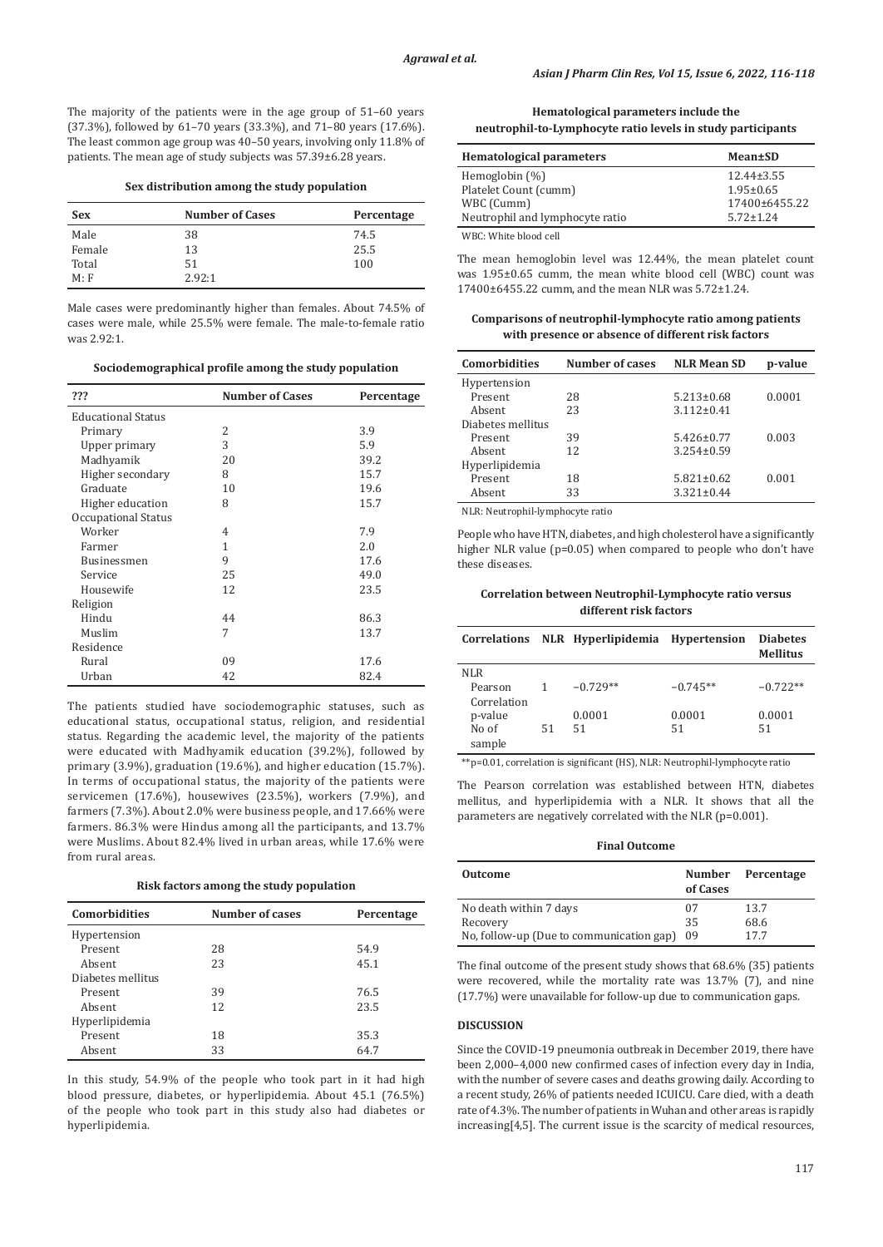The majority of the patients were in the age group of 51–60 years (37.3%), followed by 61–70 years (33.3%), and 71–80 years (17.6%). The least common age group was 40–50 years, involving only 11.8% of patients. The mean age of study subjects was 57.39±6.28 years.

**Sex distribution among the study population**

| <b>Sex</b> | <b>Number of Cases</b> | Percentage |
|------------|------------------------|------------|
| Male       | 38                     | 74.5       |
| Female     | 13                     | 25.5       |
| Total      | 51                     | 100        |
| M: F       | 2.92:1                 |            |

Male cases were predominantly higher than females. About 74.5% of cases were male, while 25.5% were female. The male-to-female ratio was 2.92:1.

**Sociodemographical profile among the study population**

| ???                       | <b>Number of Cases</b> | Percentage |
|---------------------------|------------------------|------------|
| <b>Educational Status</b> |                        |            |
| Primary                   | 2                      | 3.9        |
| Upper primary             | 3                      | 5.9        |
| Madhyamik                 | 20                     | 39.2       |
| Higher secondary          | 8                      | 15.7       |
| Graduate                  | 10                     | 19.6       |
| Higher education          | 8                      | 15.7       |
| Occupational Status       |                        |            |
| Worker                    | 4                      | 7.9        |
| Farmer                    | 1                      | 2.0        |
| Businessmen               | 9                      | 17.6       |
| Service                   | 25                     | 49.0       |
| Housewife                 | 12                     | 23.5       |
| Religion                  |                        |            |
| Hindu                     | 44                     | 86.3       |
| Muslim                    | 7                      | 13.7       |
| Residence                 |                        |            |
| Rural                     | 09                     | 17.6       |
| Urban                     | 42                     | 82.4       |

The patients studied have sociodemographic statuses, such as educational status, occupational status, religion, and residential status. Regarding the academic level, the majority of the patients were educated with Madhyamik education (39.2%), followed by primary (3.9%), graduation (19.6%), and higher education (15.7%). In terms of occupational status, the majority of the patients were servicemen (17.6%), housewives (23.5%), workers (7.9%), and farmers (7.3%). About 2.0% were business people, and 17.66% were farmers. 86.3% were Hindus among all the participants, and 13.7% were Muslims. About 82.4% lived in urban areas, while 17.6% were from rural areas.

**Risk factors among the study population**

| <b>Comorbidities</b> | <b>Number of cases</b> | Percentage |
|----------------------|------------------------|------------|
| Hypertension         |                        |            |
| Present              | 28                     | 54.9       |
| Absent               | 23                     | 45.1       |
| Diabetes mellitus    |                        |            |
| Present              | 39                     | 76.5       |
| Absent               | 12                     | 23.5       |
| Hyperlipidemia       |                        |            |
| Present              | 18                     | 35.3       |
| Absent               | 33                     | 64.7       |
|                      |                        |            |

In this study, 54.9% of the people who took part in it had high blood pressure, diabetes, or hyperlipidemia. About 45.1 (76.5%) of the people who took part in this study also had diabetes or hyperlipidemia.

**Hematological parameters include the neutrophil‑to‑Lymphocyte ratio levels in study participants**

| <b>Hematological parameters</b> | Mean±SD          |
|---------------------------------|------------------|
| Hemoglobin $(\%)$               | $12.44 \pm 3.55$ |
| Platelet Count (cumm)           | $1.95 \pm 0.65$  |
| WBC (Cumm)                      | 17400±6455.22    |
| Neutrophil and lymphocyte ratio | $5.72 \pm 1.24$  |
| <b>EATH C EATL: 1.1. 1.1.11</b> |                  |

WBC: White blood cell

The mean hemoglobin level was 12.44%, the mean platelet count was 1.95±0.65 cumm, the mean white blood cell (WBC) count was 17400±6455.22 cumm, and the mean NLR was 5.72±1.24.

**Comparisons of neutrophil‑lymphocyte ratio among patients with presence or absence of different risk factors**

| <b>Comorbidities</b> | Number of cases | <b>NLR Mean SD</b> | p-value |
|----------------------|-----------------|--------------------|---------|
| Hypertension         |                 |                    |         |
| Present              | 28              | $5.213 \pm 0.68$   | 0.0001  |
| Absent               | 23              | $3.112 \pm 0.41$   |         |
| Diabetes mellitus    |                 |                    |         |
| Present              | 39              | $5.426 \pm 0.77$   | 0.003   |
| Absent               | 12              | $3.254 \pm 0.59$   |         |
| Hyperlipidemia       |                 |                    |         |
| Present              | 18              | $5.821 \pm 0.62$   | 0.001   |
| Absent               | 33              | $3.321 \pm 0.44$   |         |

NLR: Neutrophil-lymphocyte ratio

People who have HTN, diabetes, and high cholesterol have a significantly higher NLR value (p=0.05) when compared to people who don't have these diseases.

**Correlation between Neutrophil‑Lymphocyte ratio versus different risk factors**

| Correlations |    | NLR Hyperlipidemia Hypertension |            | <b>Diabetes</b><br><b>Mellitus</b> |
|--------------|----|---------------------------------|------------|------------------------------------|
| NLR          |    |                                 |            |                                    |
| Pearson      |    | $-0.729**$                      | $-0.745**$ | $-0.722**$                         |
| Correlation  |    |                                 |            |                                    |
| p-value      |    | 0.0001                          | 0.0001     | 0.0001                             |
| No of        | 51 | 51                              | 51         | 51                                 |
| sample       |    |                                 |            |                                    |

\*\*p=0.01, correlation is significant (HS), NLR: Neutrophil‑lymphocyte ratio

The Pearson correlation was established between HTN, diabetes mellitus, and hyperlipidemia with a NLR. It shows that all the parameters are negatively correlated with the NLR (p=0.001).

**Final Outcome**

| <b>Outcome</b>                           | <b>Number</b><br>of Cases | Percentage |
|------------------------------------------|---------------------------|------------|
| No death within 7 days                   | 07                        | 13.7       |
| Recovery                                 | 35                        | 68.6       |
| No, follow-up (Due to communication gap) | 09                        | 177        |

The final outcome of the present study shows that 68.6% (35) patients were recovered, while the mortality rate was 13.7% (7), and nine (17.7%) were unavailable for follow-up due to communication gaps.

#### **DISCUSSION**

Since the COVID-19 pneumonia outbreak in December 2019, there have been 2,000–4,000 new confirmed cases of infection every day in India, with the number of severe cases and deaths growing daily. According to a recent study, 26% of patients needed ICUICU. Care died, with a death rate of 4.3%. The number of patients in Wuhan and other areas is rapidly increasing[4,5]. The current issue is the scarcity of medical resources,